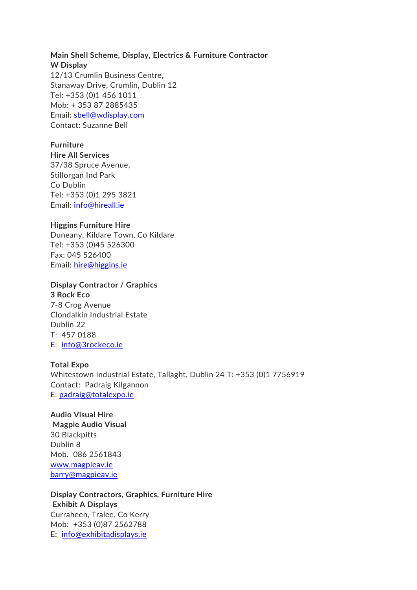## **Main Shell Scheme, Display, Electrics & Furniture Contractor W Display**  12/13 Crumlin Business Centre, Stanaway Drive, Crumlin, Dublin 12 Tel: +353 (0)1 456 1011 Mob: + 353 87 2885435 Email: [sbell@wdisplay.com](mailto:sbell@wdisplay.com) Contact: Suzanne Bell

### **Furniture**

**Hire All Services** 37/38 Spruce Avenue, Stillorgan Ind Park Co Dublin Tel: +353 (0)1 295 3821 Email: [info@hireall.ie](mailto:info@hireall.ie)

#### **Higgins Furniture Hire**

Duneany, Kildare Town, Co Kildare Tel: +353 (0)45 526300 Fax: 045 526400 Email: [hire@higgins.ie](mailto:hire@higgins.ie)

#### **Display Contractor / Graphics**

**3 Rock Eco** 7-8 Crog Avenue Clondalkin Industrial Estate Dublin 22 T: 457 0188 E: [info@3rockeco.ie](mailto:info@3rockeco.ie)

#### **Total Expo**

Whitestown Industrial Estate, Tallaght, Dublin 24 T: +353 (0)1 7756919 Contact: Padraig Kilgannon E: [padraig@totalexpo.ie](mailto:padraig@totalexpo.ie)

## **Audio Visual Hire**

**Magpie Audio Visual** 30 Blackpitts Dublin 8 Mob. 086 2561843 [www.magpieav.ie](http://www.magpieav.ie/)  [barry@magpieav.ie](mailto:barry@magpieav.ie) 

**Display Contractors, Graphics, Furniture Hire Exhibit A Displays** Curraheen, Tralee, Co Kerry Mob: +353 (0)87 2562788 E: [info@exhibitadisplays.ie](mailto:info@exhibitadisplays.ie)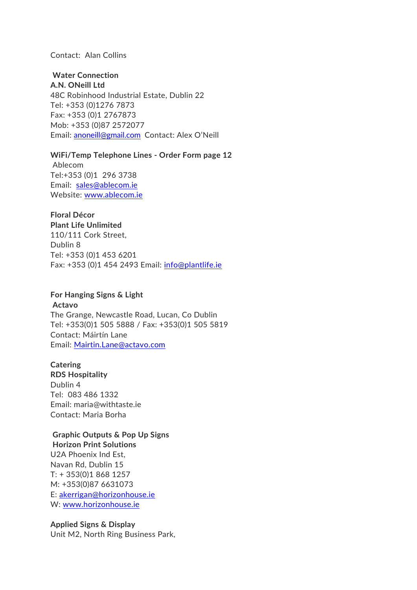#### Contact: Alan Collins

## **Water Connection**

**A.N. ONeill Ltd** 48C Robinhood Industrial Estate, Dublin 22 Tel: +353 (0)1276 7873 Fax: +353 (0)1 2767873 Mob: +353 (0)87 2572077 Email: [anoneill@gmail.com](mailto:anoneill@gmail.com) Contact: Alex O'Neill

#### **WiFi/Temp Telephone Lines - Order Form page 12**

Ablecom Tel:+353 (0)1 296 3738 Email: [sales@ablecom.ie](mailto:sales@ablecom.ie) Website: [www.ablecom.ie](http://www.ablecom.ie/)

# **Floral Décor**

**Plant Life Unlimited** 110/111 Cork Street, Dublin 8 Tel: +353 (0)1 453 6201 Fax: +353 (0)1 454 2493 Email: [info@plantlife.ie](mailto:info@plantlife.ie)

#### **For Hanging Signs & Light**

**Actavo** The Grange, Newcastle Road, Lucan, Co Dublin Tel: +353(0)1 505 5888 / Fax: +353(0)1 505 5819 Contact: Máirtín Lane Email: [Mairtin.Lane@actavo.com](mailto:Mairtin.Lane@actavo.com)

#### **Catering**

**RDS Hospitality** Dublin 4 Tel: 083 486 1332 Email: maria@withtaste.ie Contact: Maria Borha

## **Graphic Outputs & Pop Up Signs**

**Horizon Print Solutions** U2A Phoenix Ind Est, Navan Rd, Dublin 15 T: + 353(0)1 868 1257 M: +353(0)87 6631073 E: [akerrigan@horizonhouse.ie](mailto:akerrigan@horizonhouse.ie) W: [www.horizonhouse.ie](http://www.horizonhouse.ie/)

#### **Applied Signs & Display**

Unit M2, North Ring Business Park,